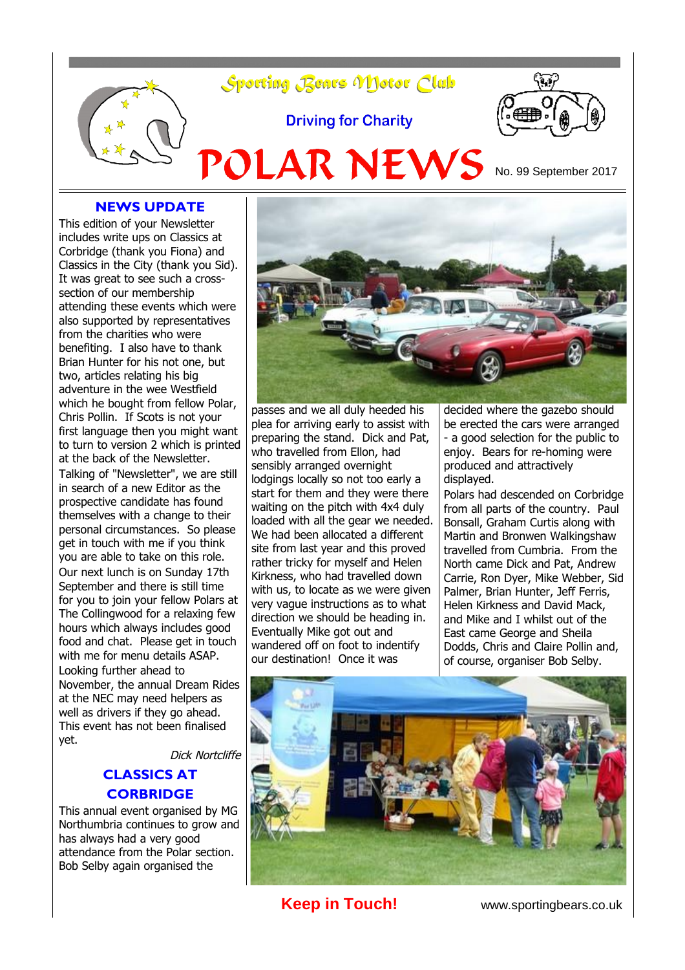

### **NEWS UPDATE**

This edition of your Newsletter includes write ups on Classics at Corbridge (thank you Fiona) and Classics in the City (thank you Sid). It was great to see such a crosssection of our membership attending these events which were also supported by representatives from the charities who were benefiting. I also have to thank Brian Hunter for his not one, but two, articles relating his big adventure in the wee Westfield which he bought from fellow Polar, Chris Pollin. If Scots is not your first language then you might want to turn to version 2 which is printed at the back of the Newsletter. Talking of "Newsletter", we are still in search of a new Editor as the prospective candidate has found themselves with a change to their personal circumstances. So please get in touch with me if you think you are able to take on this role. Our next lunch is on Sunday 17th September and there is still time for you to join your fellow Polars at The Collingwood for a relaxing few hours which always includes good food and chat. Please get in touch with me for menu details ASAP. Looking further ahead to

November, the annual Dream Rides at the NEC may need helpers as well as drivers if they go ahead. This event has not been finalised yet.

Dick Nortcliffe

## **CLASSICS AT CORBRIDGE**

This annual event organised by MG Northumbria continues to grow and has always had a very good attendance from the Polar section. Bob Selby again organised the



passes and we all duly heeded his plea for arriving early to assist with preparing the stand. Dick and Pat, who travelled from Ellon, had sensibly arranged overnight lodgings locally so not too early a start for them and they were there waiting on the pitch with 4x4 duly loaded with all the gear we needed. We had been allocated a different site from last year and this proved rather tricky for myself and Helen Kirkness, who had travelled down with us, to locate as we were given very vague instructions as to what direction we should be heading in. Eventually Mike got out and wandered off on foot to indentify our destination! Once it was

decided where the gazebo should be erected the cars were arranged - a good selection for the public to enjoy. Bears for re-homing were produced and attractively displayed.

Polars had descended on Corbridge from all parts of the country. Paul Bonsall, Graham Curtis along with Martin and Bronwen Walkingshaw travelled from Cumbria. From the North came Dick and Pat, Andrew Carrie, Ron Dyer, Mike Webber, Sid Palmer, Brian Hunter, Jeff Ferris, Helen Kirkness and David Mack, and Mike and I whilst out of the East came George and Sheila Dodds, Chris and Claire Pollin and, of course, organiser Bob Selby.



**Keep in Touch!** www.sportingbears.co.uk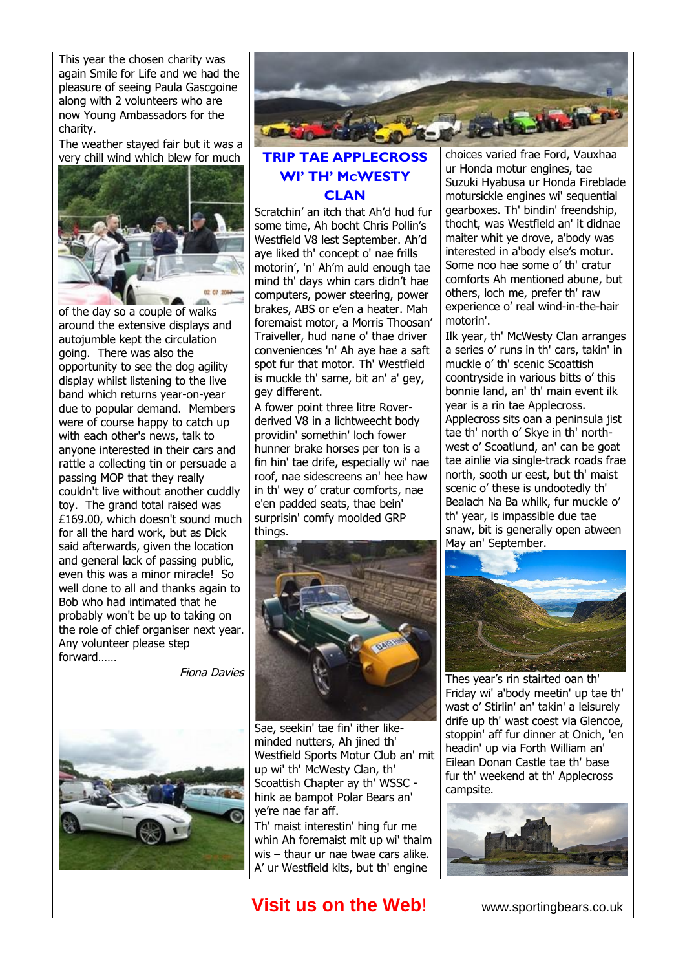This year the chosen charity was again Smile for Life and we had the pleasure of seeing Paula Gascgoine along with 2 volunteers who are now Young Ambassadors for the charity.

The weather stayed fair but it was a very chill wind which blew for much



of the day so a couple of walks around the extensive displays and autojumble kept the circulation going. There was also the opportunity to see the dog agility display whilst listening to the live band which returns year-on-year due to popular demand. Members were of course happy to catch up with each other's news, talk to anyone interested in their cars and rattle a collecting tin or persuade a passing MOP that they really couldn't live without another cuddly toy. The grand total raised was £169.00, which doesn't sound much for all the hard work, but as Dick said afterwards, given the location and general lack of passing public, even this was a minor miracle! So well done to all and thanks again to Bob who had intimated that he probably won't be up to taking on the role of chief organiser next year. Any volunteer please step forward……

Fiona Davies





### **TRIP TAE APPLECROSS WI' TH' MCWESTY CLAN**

Scratchin' an itch that Ah'd hud fur some time, Ah bocht Chris Pollin's Westfield V8 lest September. Ah'd aye liked th' concept o' nae frills motorin', 'n' Ah'm auld enough tae mind th' days whin cars didn't hae computers, power steering, power brakes, ABS or e'en a heater. Mah foremaist motor, a Morris Thoosan' Traiveller, hud nane o' thae driver conveniences 'n' Ah aye hae a saft spot fur that motor. Th' Westfield is muckle th' same, bit an' a' gey, gey different.

A fower point three litre Roverderived V8 in a lichtweecht body providin' somethin' loch fower hunner brake horses per ton is a fin hin' tae drife, especially wi' nae roof, nae sidescreens an' hee haw in th' wey o' cratur comforts, nae e'en padded seats, thae bein' surprisin' comfy moolded GRP things.



Sae, seekin' tae fin' ither likeminded nutters, Ah jined th' Westfield Sports Motur Club an' mit up wi' th' McWesty Clan, th' Scoattish Chapter ay th' WSSC hink ae bampot Polar Bears an' ye're nae far aff.

Th' maist interestin' hing fur me whin Ah foremaist mit up wi' thaim wis – thaur ur nae twae cars alike. A' ur Westfield kits, but th' engine

# **Visit us on the Web!** www.sportingbears.co.uk

choices varied frae Ford, Vauxhaa ur Honda motur engines, tae Suzuki Hyabusa ur Honda Fireblade motursickle engines wi' sequential gearboxes. Th' bindin' freendship, thocht, was Westfield an' it didnae maiter whit ye drove, a'body was interested in a'body else's motur. Some noo hae some o' th' cratur comforts Ah mentioned abune, but others, loch me, prefer th' raw experience o' real wind-in-the-hair motorin'.

Ilk year, th' McWesty Clan arranges a series o' runs in th' cars, takin' in muckle o' th' scenic Scoattish coontryside in various bitts o' this bonnie land, an' th' main event ilk year is a rin tae Applecross. Applecross sits oan a peninsula jist tae th' north o' Skye in th' northwest o' Scoatlund, an' can be goat tae ainlie via single-track roads frae north, sooth ur eest, but th' maist scenic o' these is undootedly th' Bealach Na Ba whilk, fur muckle o' th' year, is impassible due tae snaw, bit is generally open atween May an' September.



Thes year's rin stairted oan th' Friday wi' a'body meetin' up tae th' wast o' Stirlin' an' takin' a leisurely drife up th' wast coest via Glencoe, stoppin' aff fur dinner at Onich, 'en headin' up via Forth William an' Eilean Donan Castle tae th' base fur th' weekend at th' Applecross campsite.

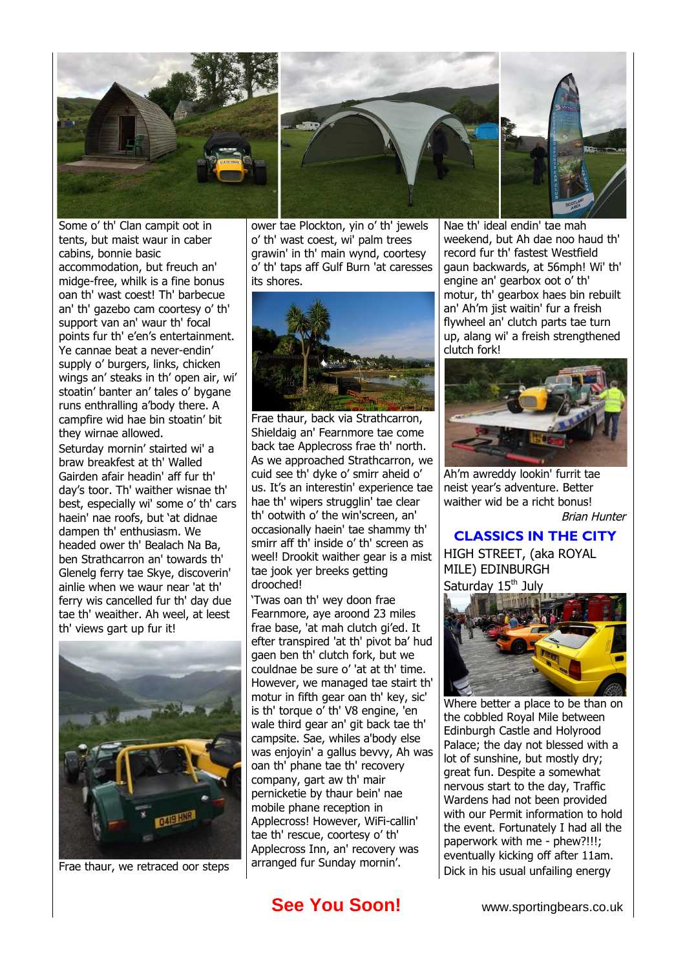

Some o' th' Clan campit oot in tents, but maist waur in caber cabins, bonnie basic accommodation, but freuch an' midge-free, whilk is a fine bonus oan th' wast coest! Th' barbecue an' th' gazebo cam coortesy o' th' support van an' waur th' focal points fur th' e'en's entertainment. Ye cannae beat a never-endin' supply o' burgers, links, chicken wings an' steaks in th' open air, wi' stoatin' banter an' tales o' bygane runs enthralling a'body there. A campfire wid hae bin stoatin' bit they wirnae allowed.

Seturday mornin' stairted wi' a braw breakfest at th' Walled Gairden afair headin' aff fur th' day's toor. Th' waither wisnae th' best, especially wi' some o' th' cars haein' nae roofs, but 'at didnae dampen th' enthusiasm. We headed ower th' Bealach Na Ba, ben Strathcarron an' towards th' Glenelg ferry tae Skye, discoverin' ainlie when we waur near 'at th' ferry wis cancelled fur th' day due tae th' weaither. Ah weel, at leest th' views gart up fur it!



Frae thaur, we retraced oor steps

ower tae Plockton, yin o' th' jewels o' th' wast coest, wi' palm trees grawin' in th' main wynd, coortesy o' th' taps aff Gulf Burn 'at caresses its shores.



Frae thaur, back via Strathcarron, Shieldaig an' Fearnmore tae come back tae Applecross frae th' north. As we approached Strathcarron, we cuid see th' dyke o' smirr aheid o' us. It's an interestin' experience tae hae th' wipers strugglin' tae clear th' ootwith o' the win'screen, an' occasionally haein' tae shammy th' smirr aff th' inside o' th' screen as weel! Drookit waither gear is a mist tae jook yer breeks getting drooched!

'Twas oan th' wey doon frae Fearnmore, aye aroond 23 miles frae base, 'at mah clutch gi'ed. It efter transpired 'at th' pivot ba' hud gaen ben th' clutch fork, but we couldnae be sure o' 'at at th' time. However, we managed tae stairt th' motur in fifth gear oan th' key, sic' is th' torque o' th' V8 engine, 'en wale third gear an' git back tae th' campsite. Sae, whiles a'body else was enjoyin' a gallus bevvy, Ah was oan th' phane tae th' recovery company, gart aw th' mair pernicketie by thaur bein' nae mobile phane reception in Applecross! However, WiFi-callin' tae th' rescue, coortesy o' th' Applecross Inn, an' recovery was arranged fur Sunday mornin'.

Nae th' ideal endin' tae mah weekend, but Ah dae noo haud th' record fur th' fastest Westfield gaun backwards, at 56mph! Wi' th' engine an' gearbox oot o' th' motur, th' gearbox haes bin rebuilt an' Ah'm jist waitin' fur a freish flywheel an' clutch parts tae turn up, alang wi' a freish strengthened clutch fork!



Ah'm awreddy lookin' furrit tae neist year's adventure. Better waither wid be a richt bonus! Brian Hunter

### **CLASSICS IN THE CITY** HIGH STREET, (aka ROYAL

MILE) EDINBURGH Saturday 15<sup>th</sup> July



Where better a place to be than on the cobbled Royal Mile between Edinburgh Castle and Holyrood Palace; the day not blessed with a lot of sunshine, but mostly dry; great fun. Despite a somewhat nervous start to the day, Traffic Wardens had not been provided with our Permit information to hold the event. Fortunately I had all the paperwork with me - phew?!!!; eventually kicking off after 11am. Dick in his usual unfailing energy

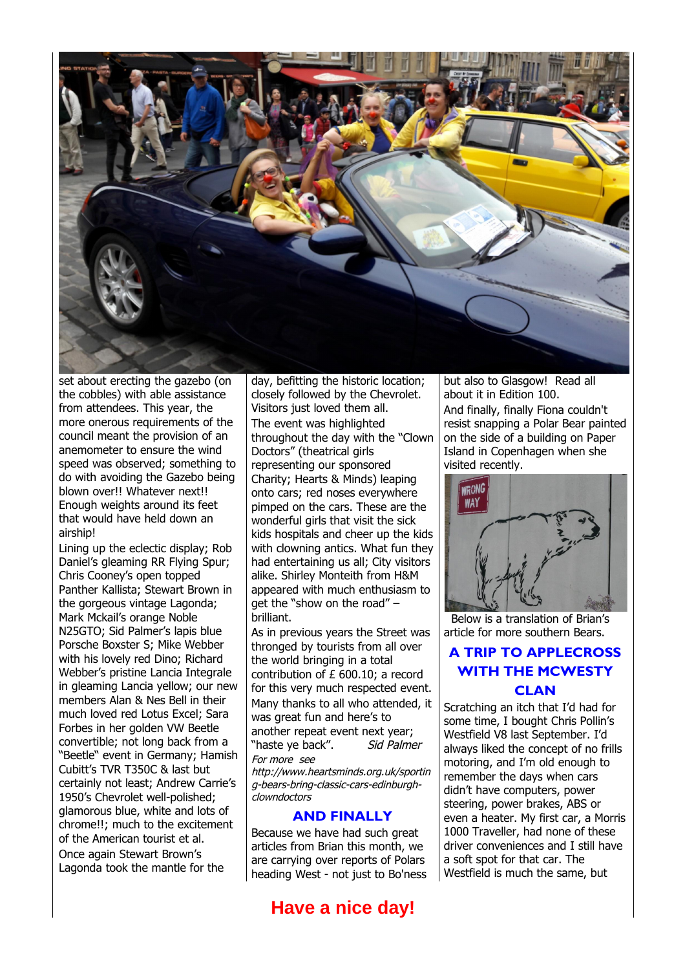

set about erecting the gazebo (on the cobbles) with able assistance from attendees. This year, the more onerous requirements of the council meant the provision of an anemometer to ensure the wind speed was observed; something to do with avoiding the Gazebo being blown over!! Whatever next!! Enough weights around its feet that would have held down an airship!

Lining up the eclectic display; Rob Daniel's gleaming RR Flying Spur; Chris Cooney's open topped Panther Kallista; Stewart Brown in the gorgeous vintage Lagonda; Mark Mckail's orange Noble N25GTO; Sid Palmer's lapis blue Porsche Boxster S; Mike Webber with his lovely red Dino; Richard Webber's pristine Lancia Integrale in gleaming Lancia yellow; our new members Alan & Nes Bell in their much loved red Lotus Excel; Sara Forbes in her golden VW Beetle convertible; not long back from a "Beetle" event in Germany; Hamish Cubitt's TVR T350C & last but certainly not least; Andrew Carrie's 1950's Chevrolet well-polished; glamorous blue, white and lots of chrome!!; much to the excitement of the American tourist et al. Once again Stewart Brown's Lagonda took the mantle for the

day, befitting the historic location; closely followed by the Chevrolet. Visitors just loved them all. The event was highlighted throughout the day with the "Clown Doctors" (theatrical girls representing our sponsored Charity; Hearts & Minds) leaping onto cars; red noses everywhere pimped on the cars. These are the wonderful girls that visit the sick kids hospitals and cheer up the kids with clowning antics. What fun they had entertaining us all; City visitors alike. Shirley Monteith from H&M appeared with much enthusiasm to get the "show on the road" – brilliant.

As in previous years the Street was thronged by tourists from all over the world bringing in a total contribution of £ 600.10; a record for this very much respected event. Many thanks to all who attended, it was great fun and here's to another repeat event next year; "haste ye back". Sid Palmer For more see

http://www.heartsminds.org.uk/sportin g-bears-bring-classic-cars-edinburghclowndoctors

#### **AND FINALLY**

Because we have had such great articles from Brian this month, we are carrying over reports of Polars heading West - not just to Bo'ness

## **Have a nice day!**

but also to Glasgow! Read all about it in Edition 100. And finally, finally Fiona couldn't resist snapping a Polar Bear painted on the side of a building on Paper Island in Copenhagen when she visited recently.



 Below is a translation of Brian's article for more southern Bears.

### **A TRIP TO APPLECROSS WITH THE MCWESTY CLAN**

Scratching an itch that I'd had for some time, I bought Chris Pollin's Westfield V8 last September. I'd always liked the concept of no frills motoring, and I'm old enough to remember the days when cars didn't have computers, power steering, power brakes, ABS or even a heater. My first car, a Morris 1000 Traveller, had none of these driver conveniences and I still have a soft spot for that car. The Westfield is much the same, but